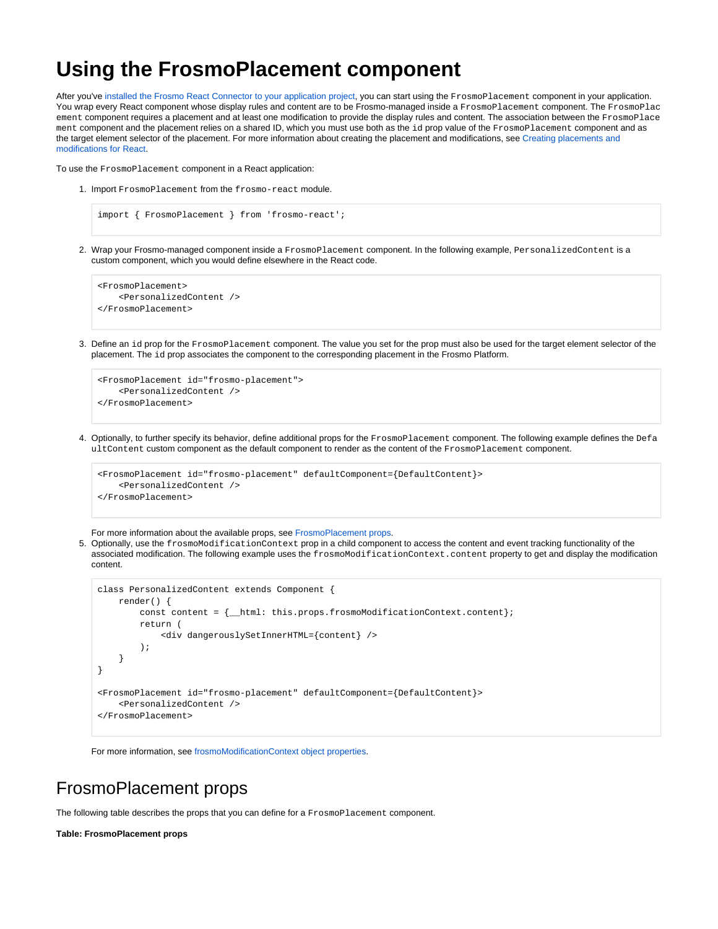# **Using the FrosmoPlacement component**

After you've [installed the Frosmo React Connector to your application project,](https://docs.frosmo.com/display/dev/Installing+the+React+Connector) you can start using the FrosmoPlacement component in your application. You wrap every React component whose display rules and content are to be Frosmo-managed inside a FrosmoPlacement component. The FrosmoPlac ement component requires a placement and at least one modification to provide the display rules and content. The association between the FrosmoPlace ment component and the placement relies on a shared ID, which you must use both as the id prop value of the FrosmoPlacement component and as the target element selector of the placement. For more information about creating the placement and modifications, see [Creating placements and](https://docs.frosmo.com/display/dev/Creating+placements+and+modifications+for+React)  [modifications for React](https://docs.frosmo.com/display/dev/Creating+placements+and+modifications+for+React).

To use the FrosmoPlacement component in a React application:

1. Import FrosmoPlacement from the frosmo-react module.

```
import { FrosmoPlacement } from 'frosmo-react';
```
2. Wrap your Frosmo-managed component inside a FrosmoPlacement component. In the following example, PersonalizedContent is a custom component, which you would define elsewhere in the React code.

```
<FrosmoPlacement>
     <PersonalizedContent />
</FrosmoPlacement>
```
3. Define an id prop for the FrosmoPlacement component. The value you set for the prop must also be used for the target element selector of the placement. The id prop associates the component to the corresponding placement in the Frosmo Platform.

```
<FrosmoPlacement id="frosmo-placement">
     <PersonalizedContent />
</FrosmoPlacement>
```
4. Optionally, to further specify its behavior, define additional props for the FrosmoPlacement component. The following example defines the Defa ultContent custom component as the default component to render as the content of the FrosmoPlacement component.

```
<FrosmoPlacement id="frosmo-placement" defaultComponent={DefaultContent}>
    <PersonalizedContent />
</FrosmoPlacement>
```
For more information about the available props, see [FrosmoPlacement props.](#page-0-0)

5. Optionally, use the frosmoModificationContext prop in a child component to access the content and event tracking functionality of the associated modification. The following example uses the frosmoModificationContext.content property to get and display the modification content.

```
class PersonalizedContent extends Component {
    render() {
        const content = {_html: this.props.frosmoModificationContext.content};
         return (
             <div dangerouslySetInnerHTML={content} />
         );
     }
}
<FrosmoPlacement id="frosmo-placement" defaultComponent={DefaultContent}>
     <PersonalizedContent />
</FrosmoPlacement>
```
For more information, see [frosmoModificationContext object properties](#page-1-0).

### <span id="page-0-0"></span>FrosmoPlacement props

The following table describes the props that you can define for a FrosmoPlacement component.

**Table: FrosmoPlacement props**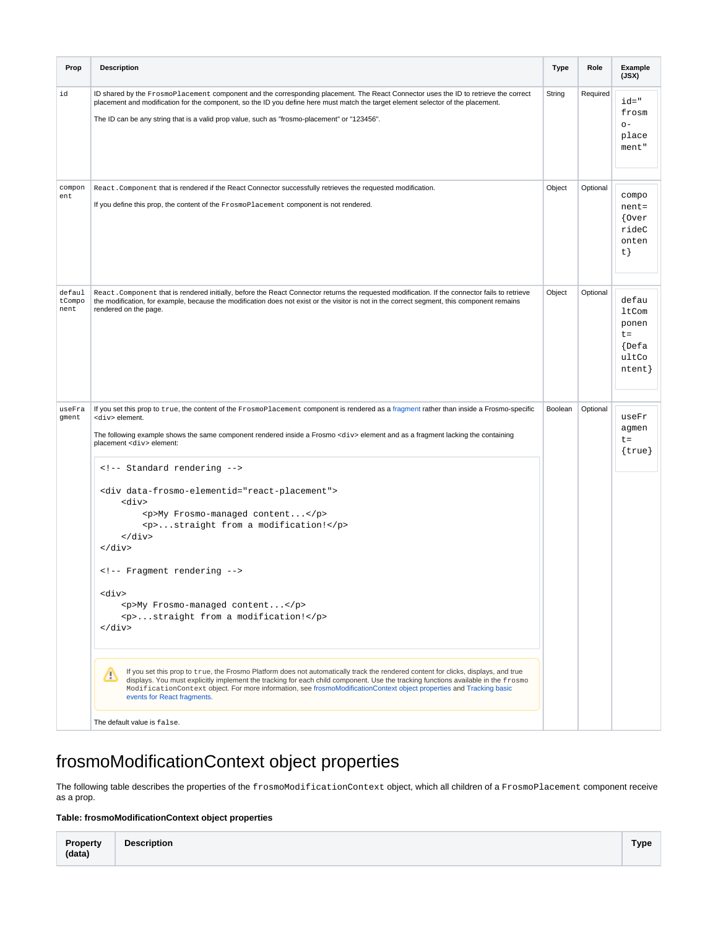| Prop                     | <b>Description</b>                                                                                                                                                                                                                                                                                                                                                                                                                                                                        | <b>Type</b> | Role     | Example<br>(JSX)                                                                    |
|--------------------------|-------------------------------------------------------------------------------------------------------------------------------------------------------------------------------------------------------------------------------------------------------------------------------------------------------------------------------------------------------------------------------------------------------------------------------------------------------------------------------------------|-------------|----------|-------------------------------------------------------------------------------------|
| id                       | ID shared by the FrosmoPlacement component and the corresponding placement. The React Connector uses the ID to retrieve the correct<br>placement and modification for the component, so the ID you define here must match the target element selector of the placement.<br>The ID can be any string that is a valid prop value, such as "frosmo-placement" or "123456".                                                                                                                   | String      | Required | $id = "$<br>frosm<br>$O -$<br>place<br>ment"                                        |
| compon<br>ent            | React. Component that is rendered if the React Connector successfully retrieves the requested modification.<br>If you define this prop, the content of the FrosmoPlacement component is not rendered.                                                                                                                                                                                                                                                                                     | Object      | Optional | compo<br>$nent =$<br>$\{0 \text{ver}\}$<br>rideC<br>onten<br>t }                    |
| defaul<br>tCompo<br>nent | React. Component that is rendered initially, before the React Connector returns the requested modification. If the connector fails to retrieve<br>the modification, for example, because the modification does not exist or the visitor is not in the correct segment, this component remains<br>rendered on the page.                                                                                                                                                                    | Object      | Optional | defau<br>ltCom<br>ponen<br>$t =$<br>$\left\{ \text{Defa}\right\}$<br>ultCo<br>ntent |
| useFra<br>gment          | If you set this prop to true, the content of the FrosmoPlacement component is rendered as a fragment rather than inside a Frosmo-specific<br><div>element.<br/>The following example shows the same component rendered inside a Frosmo <div> element and as a fragment lacking the containing<br/>placement <div> element:<br/><!-- Standard rendering --><br/><div data-frosmo-elementid="react-placement"><br/><div><br/><p>My Frosmo-managed content</p></div></div></div></div></div> | Boolean     | Optional | useFr<br>agmen<br>$t =$<br>$\{true\}$                                               |
|                          | <p>straight from a modification!</p><br>$\langle$ div><br>$\langle$ div><br>Fragment rendering<br><div><br/><p>My Frosmo-managed content</p><br/><p>straight from a modification!</p><br/><math>\langle</math> div&gt;</div>                                                                                                                                                                                                                                                              |             |          |                                                                                     |
|                          | If you set this prop to true, the Frosmo Platform does not automatically track the rendered content for clicks, displays, and true<br>Δ<br>displays. You must explicitly implement the tracking for each child component. Use the tracking functions available in the frosmo<br>ModificationContext object. For more information, see frosmoModificationContext object properties and Tracking basic<br>events for React fragments.<br>The default value is false.                        |             |          |                                                                                     |

# <span id="page-1-0"></span>frosmoModificationContext object properties

The following table describes the properties of the frosmoModificationContext object, which all children of a FrosmoPlacement component receive as a prop.

#### **Table: frosmoModificationContext object properties**

| <b>Property</b><br>(data) | <b>Description</b> | <b>Type</b> |
|---------------------------|--------------------|-------------|
|---------------------------|--------------------|-------------|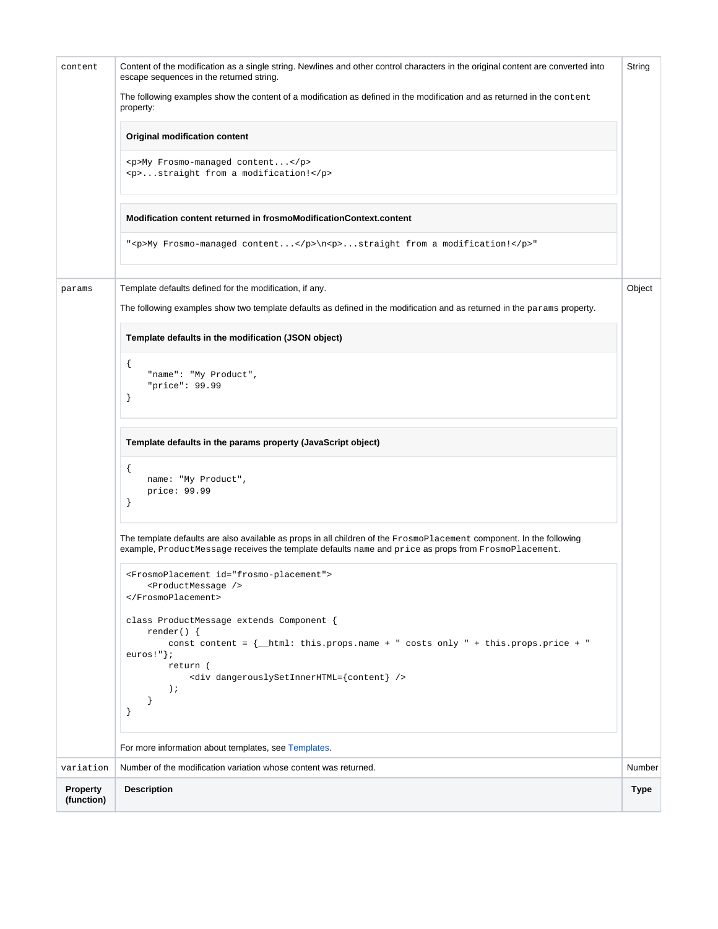| content                | Content of the modification as a single string. Newlines and other control characters in the original content are converted into<br>escape sequences in the returned string.                                                        | String      |
|------------------------|-------------------------------------------------------------------------------------------------------------------------------------------------------------------------------------------------------------------------------------|-------------|
|                        | The following examples show the content of a modification as defined in the modification and as returned in the content<br>property:                                                                                                |             |
|                        | <b>Original modification content</b>                                                                                                                                                                                                |             |
|                        | <p>My Frosmo-managed content</p><br><p>straight from a modification!</p>                                                                                                                                                            |             |
|                        | Modification content returned in frosmoModificationContext.content                                                                                                                                                                  |             |
|                        | " <p>My Frosmo-managed content</p> \n <p>straight from a modification!</p> >                                                                                                                                                        |             |
| params                 | Template defaults defined for the modification, if any.<br>The following examples show two template defaults as defined in the modification and as returned in the params property.                                                 | Object      |
|                        | Template defaults in the modification (JSON object)                                                                                                                                                                                 |             |
|                        | €<br>"name": "My Product",<br>"price": 99.99<br>ł                                                                                                                                                                                   |             |
|                        | Template defaults in the params property (JavaScript object)                                                                                                                                                                        |             |
|                        | €<br>name: "My Product",<br>price: 99.99<br>ł                                                                                                                                                                                       |             |
|                        | The template defaults are also available as props in all children of the FrosmoPlacement component. In the following<br>example, ProductMessage receives the template defaults name and price as props from FrosmoPlacement.        |             |
|                        | <frosmoplacement id="frosmo-placement"><br/><productmessage></productmessage><br/></frosmoplacement>                                                                                                                                |             |
|                        | class ProductMessage extends Component {<br>$render() \{$<br>const content = $\{\_\$ html: this.props.name + " costs only " + this.props.price + "<br>euros!" $\}$ ;<br>return (<br><div dangerouslysetinnerhtml="{content}"></div> |             |
|                        | $\rightarrow$<br>}<br>}                                                                                                                                                                                                             |             |
|                        | For more information about templates, see Templates.                                                                                                                                                                                |             |
| variation              | Number of the modification variation whose content was returned.                                                                                                                                                                    | Number      |
| Property<br>(function) | <b>Description</b>                                                                                                                                                                                                                  | <b>Type</b> |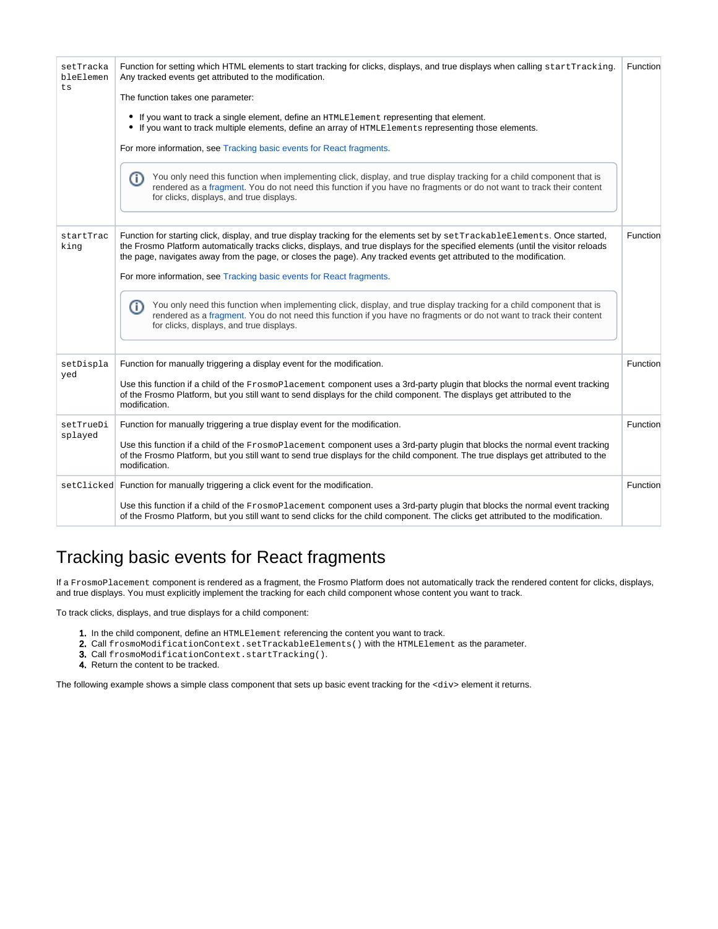| setTracka<br>bleElemen<br>ts | Function for setting which HTML elements to start tracking for clicks, displays, and true displays when calling startTracking.<br>Any tracked events get attributed to the modification.<br>The function takes one parameter:                                                                                                                                                            | Function |
|------------------------------|------------------------------------------------------------------------------------------------------------------------------------------------------------------------------------------------------------------------------------------------------------------------------------------------------------------------------------------------------------------------------------------|----------|
|                              | • If you want to track a single element, define an HTMLE1ement representing that element.<br>• If you want to track multiple elements, define an array of HTMLElements representing those elements.                                                                                                                                                                                      |          |
|                              | For more information, see Tracking basic events for React fragments.                                                                                                                                                                                                                                                                                                                     |          |
|                              | You only need this function when implementing click, display, and true display tracking for a child component that is<br>G)<br>rendered as a fragment. You do not need this function if you have no fragments or do not want to track their content<br>for clicks, displays, and true displays.                                                                                          |          |
| startTrac<br>king            | Function for starting click, display, and true display tracking for the elements set by setTrackableElements. Once started,<br>the Frosmo Platform automatically tracks clicks, displays, and true displays for the specified elements (until the visitor reloads<br>the page, navigates away from the page, or closes the page). Any tracked events get attributed to the modification. | Function |
|                              | For more information, see Tracking basic events for React fragments.                                                                                                                                                                                                                                                                                                                     |          |
|                              | You only need this function when implementing click, display, and true display tracking for a child component that is<br>O)<br>rendered as a fragment. You do not need this function if you have no fragments or do not want to track their content<br>for clicks, displays, and true displays.                                                                                          |          |
| setDispla                    | Function for manually triggering a display event for the modification.                                                                                                                                                                                                                                                                                                                   | Function |
| yed                          | Use this function if a child of the FrosmoPlacement component uses a 3rd-party plugin that blocks the normal event tracking<br>of the Frosmo Platform, but you still want to send displays for the child component. The displays get attributed to the<br>modification.                                                                                                                  |          |
| setTrueDi<br>splayed         | Function for manually triggering a true display event for the modification.                                                                                                                                                                                                                                                                                                              | Function |
|                              | Use this function if a child of the FrosmoPlacement component uses a 3rd-party plugin that blocks the normal event tracking<br>of the Frosmo Platform, but you still want to send true displays for the child component. The true displays get attributed to the<br>modification.                                                                                                        |          |
|                              | setClicked Function for manually triggering a click event for the modification.                                                                                                                                                                                                                                                                                                          | Function |
|                              | Use this function if a child of the FrosmoPlacement component uses a 3rd-party plugin that blocks the normal event tracking<br>of the Frosmo Platform, but you still want to send clicks for the child component. The clicks get attributed to the modification.                                                                                                                         |          |

## <span id="page-3-0"></span>Tracking basic events for React fragments

If a FrosmoPlacement component is rendered as a fragment, the Frosmo Platform does not automatically track the rendered content for clicks, displays, and true displays. You must explicitly implement the tracking for each child component whose content you want to track.

To track clicks, displays, and true displays for a child component:

- 1. In the child component, define an HTMLElement referencing the content you want to track.
- 2. Call frosmoModificationContext.setTrackableElements() with the HTMLElement as the parameter.
- 3. Call frosmoModificationContext.startTracking().
- 4. Return the content to be tracked.

The following example shows a simple class component that sets up basic event tracking for the <div> element it returns.